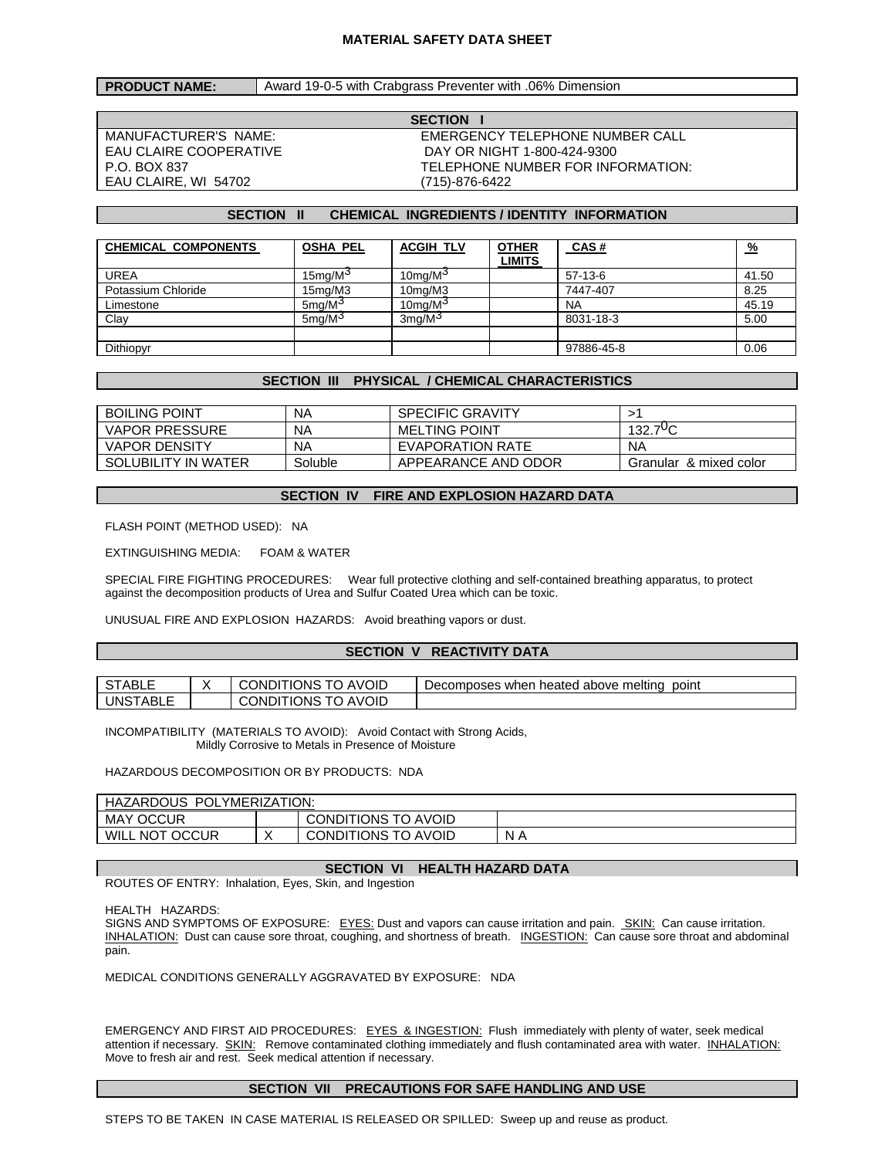#### **MATERIAL SAFETY DATA SHEET**

# **PRODUCT NAME:** Award 19-0-5 with Crabgrass Preventer with .06% Dimension

EAU CLAIRE, WI 54702 (715)-876-6422

**SECTION I**  MANUFACTURER'S NAME: EMERGENCY TELEPHONE NUMBER CALL EAU CLAIRE COOPERATIVE DAY OR NIGHT 1-800-424-9300 P.O. BOX 837 TELEPHONE NUMBER FOR INFORMATION:

# **SECTION II CHEMICAL INGREDIENTS / IDENTITY INFORMATION**

| <b>CHEMICAL COMPONENTS</b> | <b>OSHA PEL</b>       | <b>ACGIH TLV</b>     | <b>OTHER</b><br><b>LIMITS</b> | CAS#       | <u>%</u> |
|----------------------------|-----------------------|----------------------|-------------------------------|------------|----------|
| <b>UREA</b>                | $15$ mg/M $3$         | 10 $mg/M3$           |                               | $57-13-6$  | 41.50    |
| Potassium Chloride         | 15 <sub>mq</sub> /M3  | 10 <sub>mq</sub> /M3 |                               | 7447-407   | 8.25     |
| Limestone                  | $5 \text{mq/M}^3$     | 10mg/M <sup>3</sup>  |                               | <b>NA</b>  | 45.19    |
| Clay                       | $5$ ma/M <sup>3</sup> | 3ma/M <sup>3</sup>   |                               | 8031-18-3  | 5.00     |
|                            |                       |                      |                               |            |          |
| Dithiopyr                  |                       |                      |                               | 97886-45-8 | 0.06     |

### **SECTION III PHYSICAL / CHEMICAL CHARACTERISTICS**

| <b>BOILING POINT</b>  | ΝA      | <b>SPECIFIC GRAVITY</b> |                        |
|-----------------------|---------|-------------------------|------------------------|
| <b>VAPOR PRESSURE</b> | ΝA      | <b>MELTING POINT</b>    | $132.7\,{\circ}C$      |
| <b>VAPOR DENSITY</b>  | ΝA      | EVAPORATION RATE        | NA                     |
| SOLUBILITY IN WATER   | Soluble | APPEARANCE AND ODOR     | Granular & mixed color |

#### **SECTION IV FIRE AND EXPLOSION HAZARD DATA**

FLASH POINT (METHOD USED): NA

EXTINGUISHING MEDIA: FOAM & WATER

SPECIAL FIRE FIGHTING PROCEDURES: Wear full protective clothing and self-contained breathing apparatus, to protect against the decomposition products of Urea and Sulfur Coated Urea which can be toxic.

UNUSUAL FIRE AND EXPLOSION HAZARDS: Avoid breathing vapors or dust.

#### **SECTION V REACTIVITY DATA**

| STABLL          | AVOID<br><b>CONDITIONS</b><br>TO.       | Decomposes when heated above melting<br>point |
|-----------------|-----------------------------------------|-----------------------------------------------|
| <b>UNSTABLE</b> | AVOID<br><b>CONDITIONS</b><br>т∩<br>. U |                                               |

INCOMPATIBILITY (MATERIALS TO AVOID): Avoid Contact with Strong Acids, Mildly Corrosive to Metals in Presence of Moisture

### HAZARDOUS DECOMPOSITION OR BY PRODUCTS: NDA

| POLYMERIZATION:<br>HAZARDOUS |           |                     |     |  |  |
|------------------------------|-----------|---------------------|-----|--|--|
| <b>OCCUR</b><br>MAY          |           | CONDITIONS TO AVOID |     |  |  |
| WILL NOT OCCUR               | $\lambda$ | CONDITIONS TO AVOID | N A |  |  |

### **SECTION VI HEALTH HAZARD DATA**

ROUTES OF ENTRY: Inhalation, Eyes, Skin, and Ingestion

HEALTH HAZARDS:

SIGNS AND SYMPTOMS OF EXPOSURE: EYES: Dust and vapors can cause irritation and pain. SKIN: Can cause irritation. INHALATION: Dust can cause sore throat, coughing, and shortness of breath. INGESTION: Can cause sore throat and abdominal pain.

MEDICAL CONDITIONS GENERALLY AGGRAVATED BY EXPOSURE: NDA

EMERGENCY AND FIRST AID PROCEDURES: EYES & INGESTION: Flush immediately with plenty of water, seek medical attention if necessary. SKIN: Remove contaminated clothing immediately and flush contaminated area with water. INHALATION: Move to fresh air and rest. Seek medical attention if necessary.

#### **SECTION VII PRECAUTIONS FOR SAFE HANDLING AND USE**